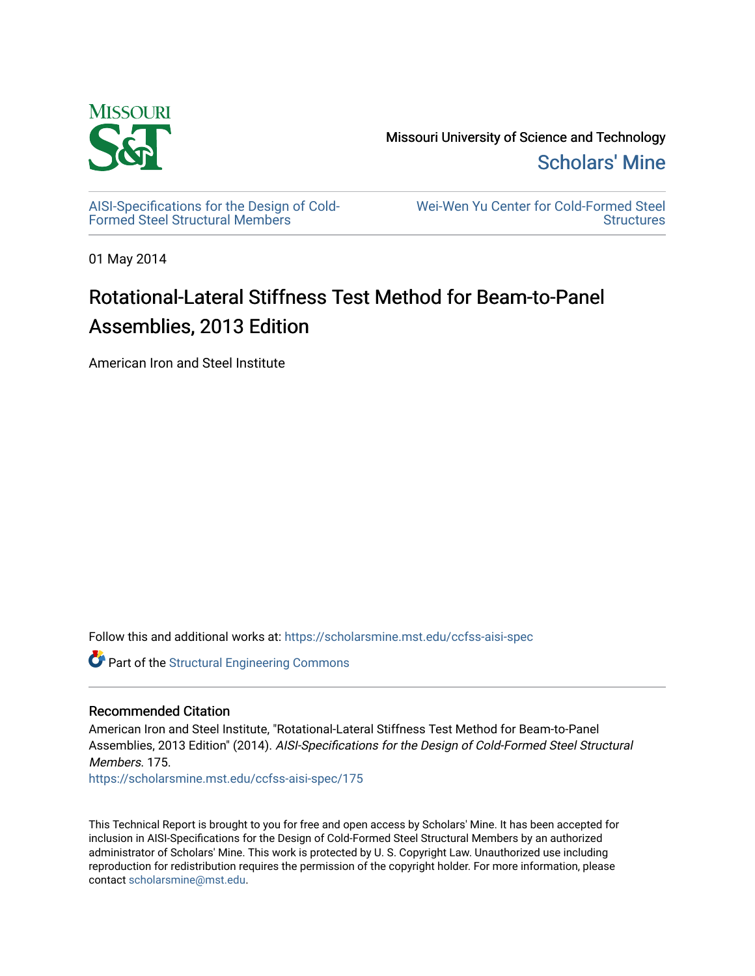

[AISI-Specifications for the Design of Cold-](https://scholarsmine.mst.edu/ccfss-aisi-spec)[Formed Steel Structural Members](https://scholarsmine.mst.edu/ccfss-aisi-spec)

[Wei-Wen Yu Center for Cold-Formed Steel](https://scholarsmine.mst.edu/ccfss)  **Structures** 

01 May 2014

# Rotational-Lateral Stiffness Test Method for Beam-to-Panel Assemblies, 2013 Edition

American Iron and Steel Institute

Follow this and additional works at: [https://scholarsmine.mst.edu/ccfss-aisi-spec](https://scholarsmine.mst.edu/ccfss-aisi-spec?utm_source=scholarsmine.mst.edu%2Fccfss-aisi-spec%2F175&utm_medium=PDF&utm_campaign=PDFCoverPages) 

**Part of the Structural Engineering Commons** 

# Recommended Citation

American Iron and Steel Institute, "Rotational-Lateral Stiffness Test Method for Beam-to-Panel Assemblies, 2013 Edition" (2014). AISI-Specifications for the Design of Cold-Formed Steel Structural Members. 175.

[https://scholarsmine.mst.edu/ccfss-aisi-spec/175](https://scholarsmine.mst.edu/ccfss-aisi-spec/175?utm_source=scholarsmine.mst.edu%2Fccfss-aisi-spec%2F175&utm_medium=PDF&utm_campaign=PDFCoverPages) 

This Technical Report is brought to you for free and open access by Scholars' Mine. It has been accepted for inclusion in AISI-Specifications for the Design of Cold-Formed Steel Structural Members by an authorized administrator of Scholars' Mine. This work is protected by U. S. Copyright Law. Unauthorized use including reproduction for redistribution requires the permission of the copyright holder. For more information, please contact [scholarsmine@mst.edu](mailto:scholarsmine@mst.edu).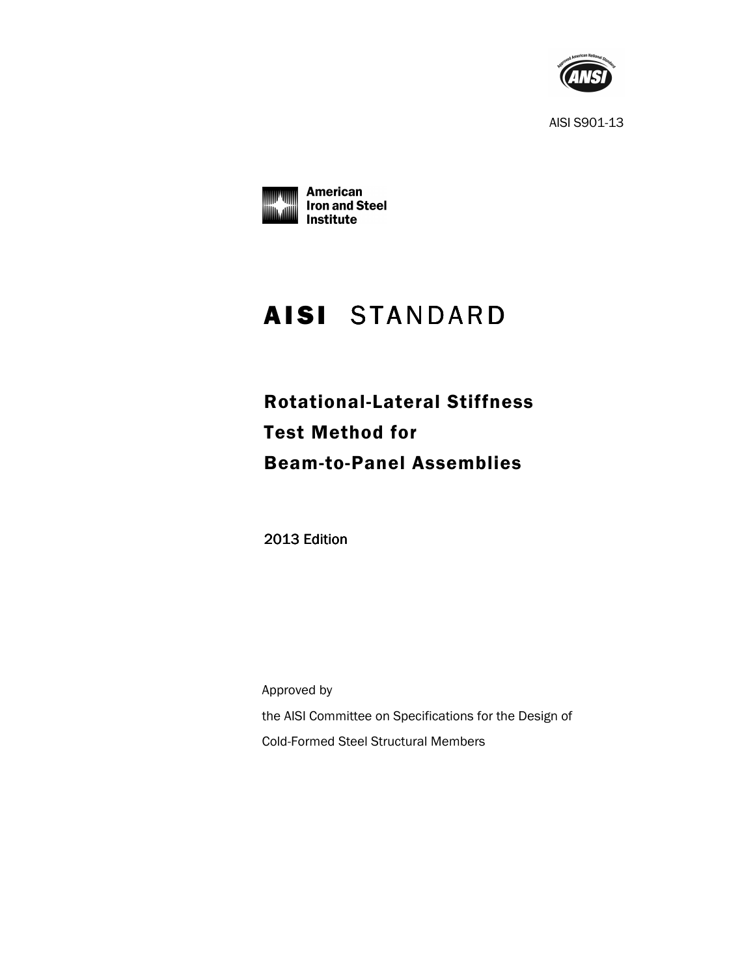

AISI S901-13



# AISI STANDARD

# Rotational-Lateral Stiffness Test Method for Beam-to-Panel Assemblies

2013Edition

Approved by the AISI Committee on Specifications for the Design of Cold-Formed Steel Structural Members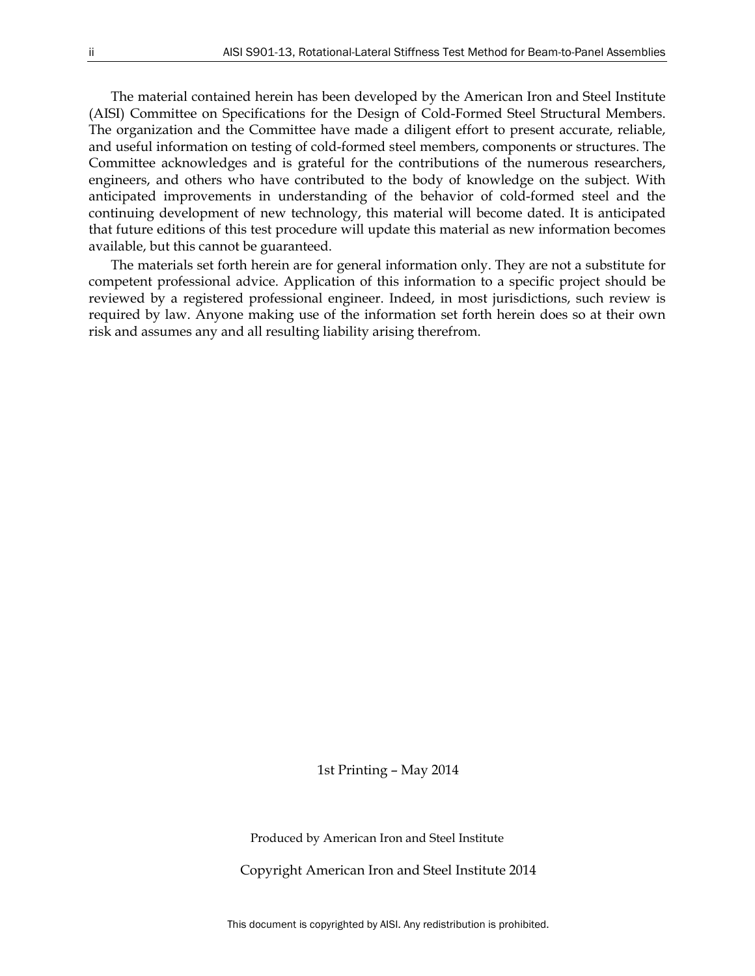The material contained herein has been developed by the American Iron and Steel Institute (AISI) Committee on Specifications for the Design of Cold-Formed Steel Structural Members. The organization and the Committee have made a diligent effort to present accurate, reliable, and useful information on testing of cold-formed steel members, components or structures. The Committee acknowledges and is grateful for the contributions of the numerous researchers, engineers, and others who have contributed to the body of knowledge on the subject. With anticipated improvements in understanding of the behavior of cold-formed steel and the continuing development of new technology, this material will become dated. It is anticipated that future editions of this test procedure will update this material as new information becomes available, but this cannot be guaranteed.

The materials set forth herein are for general information only. They are not a substitute for competent professional advice. Application of this information to a specific project should be reviewed by a registered professional engineer. Indeed, in most jurisdictions, such review is required by law. Anyone making use of the information set forth herein does so at their own risk and assumes any and all resulting liability arising therefrom.

1st Printing – May 2014

Produced by American Iron and Steel Institute

Copyright American Iron and Steel Institute 2014

This document is copyrighted by AISI. Any redistribution is prohibited.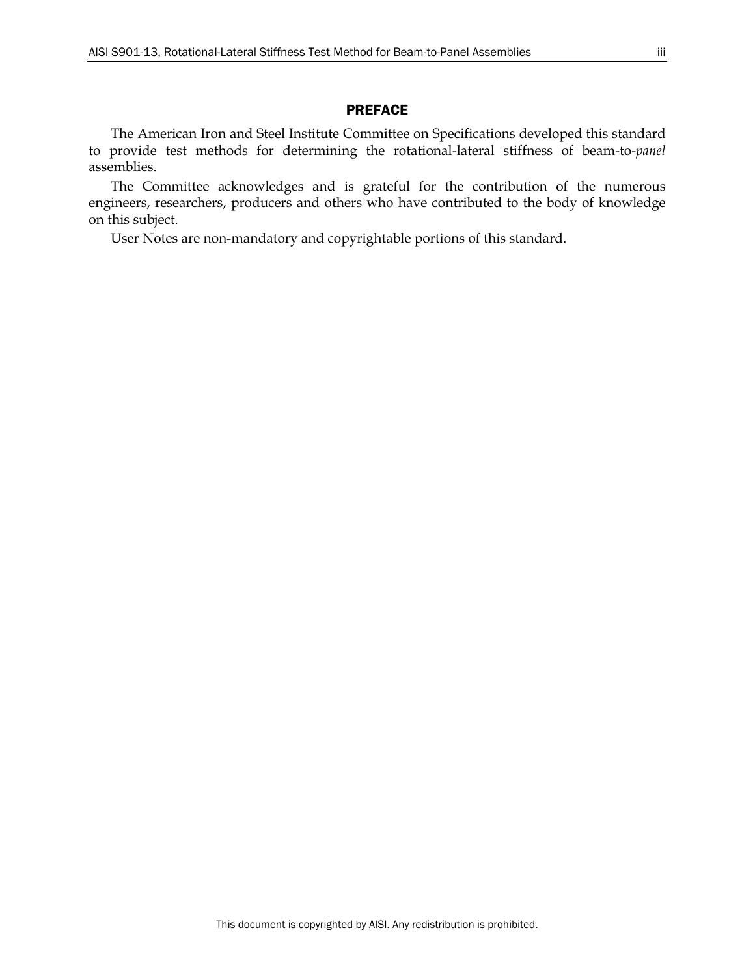# PREFACE

The American Iron and Steel Institute Committee on Specifications developed this standard to provide test methods for determining the rotational-lateral stiffness of beam-to-*panel* assemblies.

The Committee acknowledges and is grateful for the contribution of the numerous engineers, researchers, producers and others who have contributed to the body of knowledge on this subject.

User Notes are non-mandatory and copyrightable portions of this standard.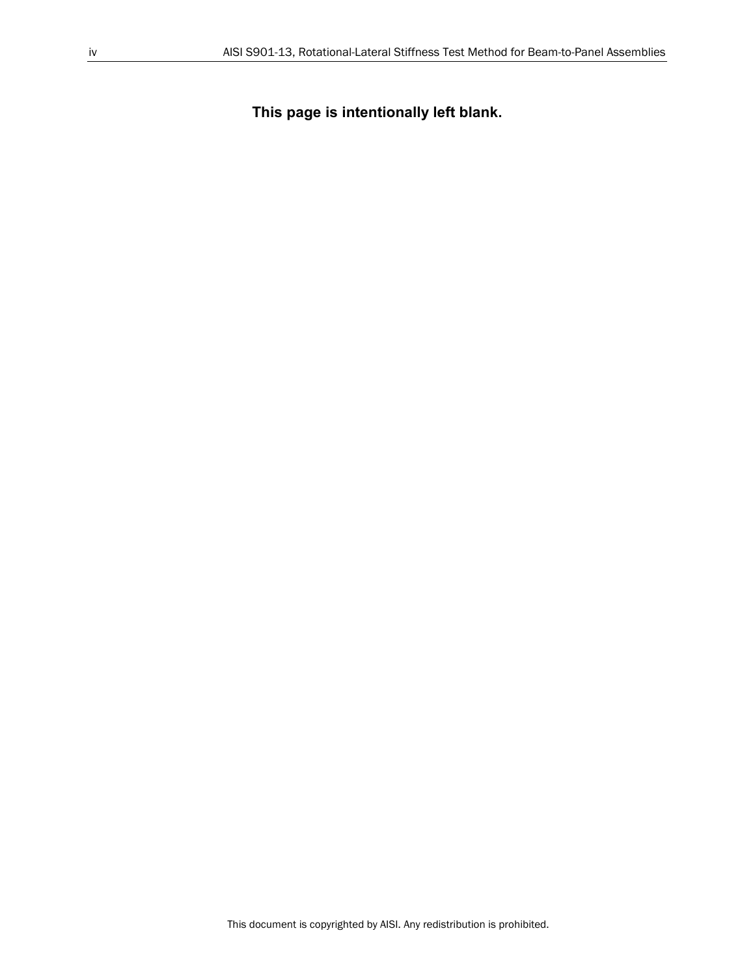# **This page is intentionally left blank.**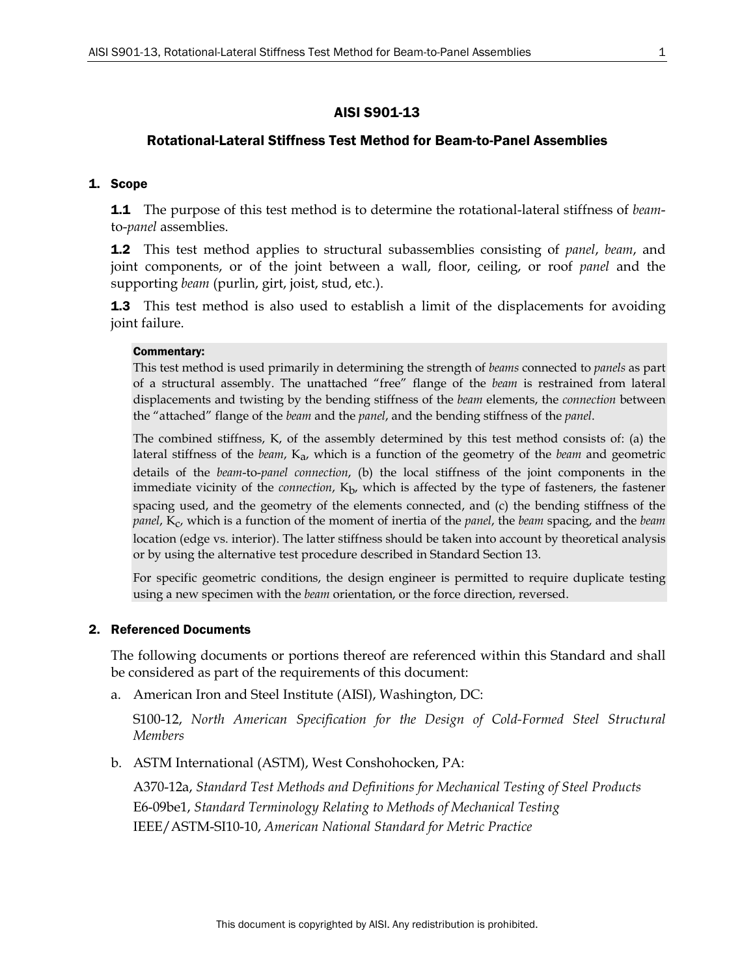# AISI S901-13

# Rotational-Lateral Stiffness Test Method for Beam-to-Panel Assemblies

# 1. Scope

1.1 The purpose of this test method is to determine the rotational-lateral stiffness of *beam*to-*panel* assemblies.

1.2 This test method applies to structural subassemblies consisting of *panel*, *beam*, and joint components, or of the joint between a wall, floor, ceiling, or roof *panel* and the supporting *beam* (purlin, girt, joist, stud, etc.).

**1.3** This test method is also used to establish a limit of the displacements for avoiding joint failure.

### Commentary:

This test method is used primarily in determining the strength of *beams* connected to *panels* as part of a structural assembly. The unattached "free" flange of the *beam* is restrained from lateral displacements and twisting by the bending stiffness of the *beam* elements, the *connection* between the "attached" flange of the *beam* and the *panel*, and the bending stiffness of the *panel*.

The combined stiffness, K, of the assembly determined by this test method consists of: (a) the lateral stiffness of the *beam*, Ka, which is a function of the geometry of the *beam* and geometric details of the *beam*-to-*panel connection*, (b) the local stiffness of the joint components in the immediate vicinity of the *connection*, K<sub>b</sub>, which is affected by the type of fasteners, the fastener spacing used, and the geometry of the elements connected, and (c) the bending stiffness of the *panel*, Kc , which is a function of the moment of inertia of the *panel*, the *beam* spacing, and the *beam* location (edge vs. interior). The latter stiffness should be taken into account by theoretical analysis or by using the alternative test procedure described in Standard Section 13.

For specific geometric conditions, the design engineer is permitted to require duplicate testing using a new specimen with the *beam* orientation, or the force direction, reversed.

# 2. Referenced Documents

The following documents or portions thereof are referenced within this Standard and shall be considered as part of the requirements of this document:

a. American Iron and Steel Institute (AISI), Washington, DC:

 S100-12, *North American Specification for the Design of Cold-Formed Steel Structural Members*

b. ASTM International (ASTM), West Conshohocken, PA:

 A370-12a, *Standard Test Methods and Definitions for Mechanical Testing of Steel Products* E6-09be1, *Standard Terminology Relating to Methods of Mechanical Testing* IEEE/ASTM-SI10-10, *American National Standard for Metric Practice*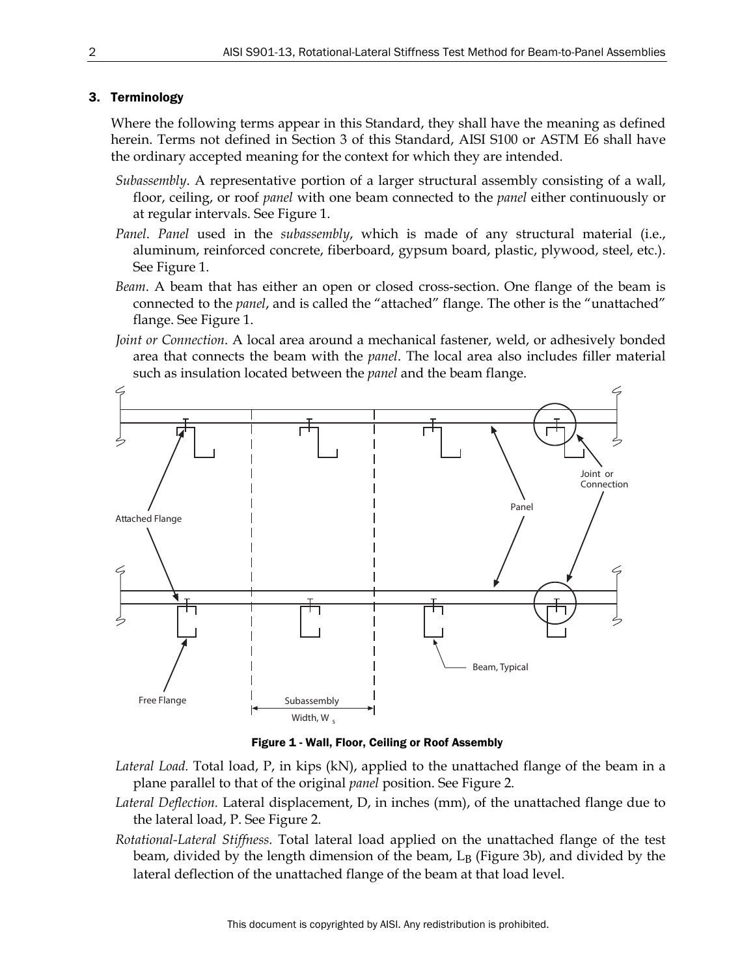# 3. Terminology

Where the following terms appear in this Standard, they shall have the meaning as defined herein. Terms not defined in Section 3 of this Standard, AISI S100 or ASTM E6 shall have the ordinary accepted meaning for the context for which they are intended.

- *Subassembly*. A representative portion of a larger structural assembly consisting of a wall, floor, ceiling, or roof *panel* with one beam connected to the *panel* either continuously or at regular intervals. See Figure 1.
- *Panel*. *Panel* used in the *subassembly*, which is made of any structural material (i.e., aluminum, reinforced concrete, fiberboard, gypsum board, plastic, plywood, steel, etc.). See Figure 1.
- *Beam*. A beam that has either an open or closed cross-section. One flange of the beam is connected to the *panel*, and is called the "attached" flange. The other is the "unattached" flange. See Figure 1.
- *Joint or Connection*. A local area around a mechanical fastener, weld, or adhesively bonded area that connects the beam with the *panel*. The local area also includes filler material such as insulation located between the *panel* and the beam flange.



Figure 1 - Wall, Floor, Ceiling or Roof Assembly

- *Lateral Load.* Total load, P, in kips (kN), applied to the unattached flange of the beam in a plane parallel to that of the original *panel* position. See Figure 2.
- *Lateral Deflection.* Lateral displacement, D, in inches (mm), of the unattached flange due to the lateral load, P. See Figure 2.
- *Rotational-Lateral Stiffness.* Total lateral load applied on the unattached flange of the test beam, divided by the length dimension of the beam,  $L_B$  (Figure 3b), and divided by the lateral deflection of the unattached flange of the beam at that load level.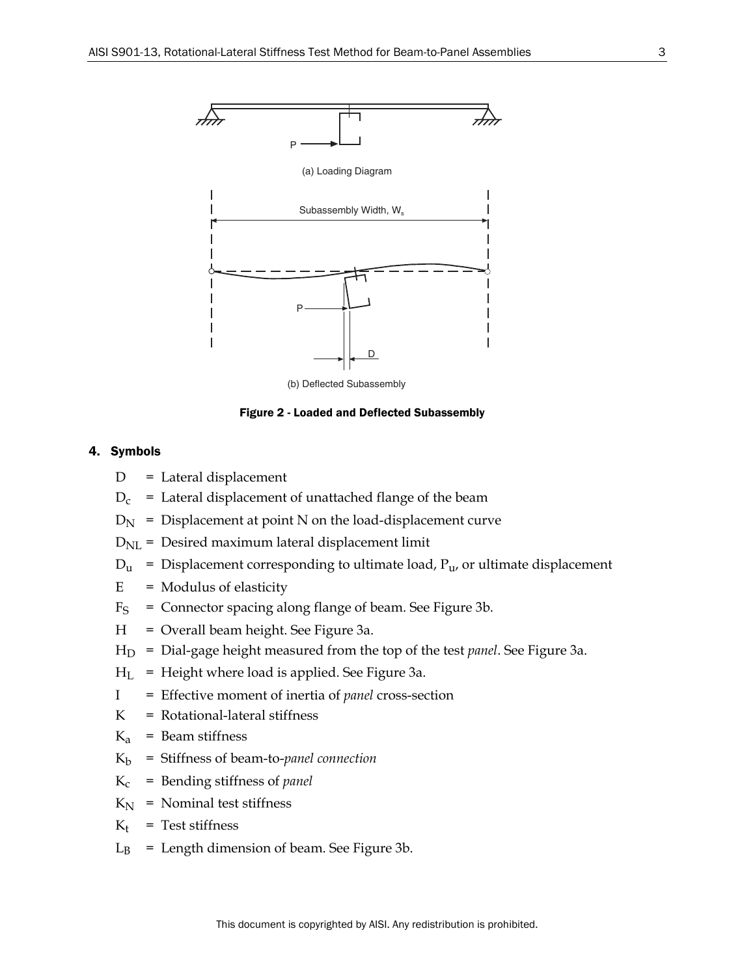

Figure 2 - Loaded and Deflected Subassembly

#### 4. Symbols

- $D =$  Lateral displacement
- $D_c$  = Lateral displacement of unattached flange of the beam
- $D_N$  = Displacement at point N on the load-displacement curve

 $D_{\text{NL}}$  = Desired maximum lateral displacement limit

- $D_u$  = Displacement corresponding to ultimate load,  $P_u$ , or ultimate displacement
- $E$  = Modulus of elasticity
- $F<sub>S</sub> =$  Connector spacing along flange of beam. See Figure 3b.
- H = Overall beam height. See Figure 3a.
- HD = Dial-gage height measured from the top of the test *panel*. See Figure 3a.
- $H<sub>L</sub>$  = Height where load is applied. See Figure 3a.
- I = Effective moment of inertia of *panel* cross-section
- K = Rotational-lateral stiffness
- $K_a$  = Beam stiffness
- Kb = Stiffness of beam-to-*panel connection*
- Kc = Bending stiffness of *panel*
- $K_N$  = Nominal test stiffness
- $K_t$  = Test stiffness
- $L_B$  = Length dimension of beam. See Figure 3b.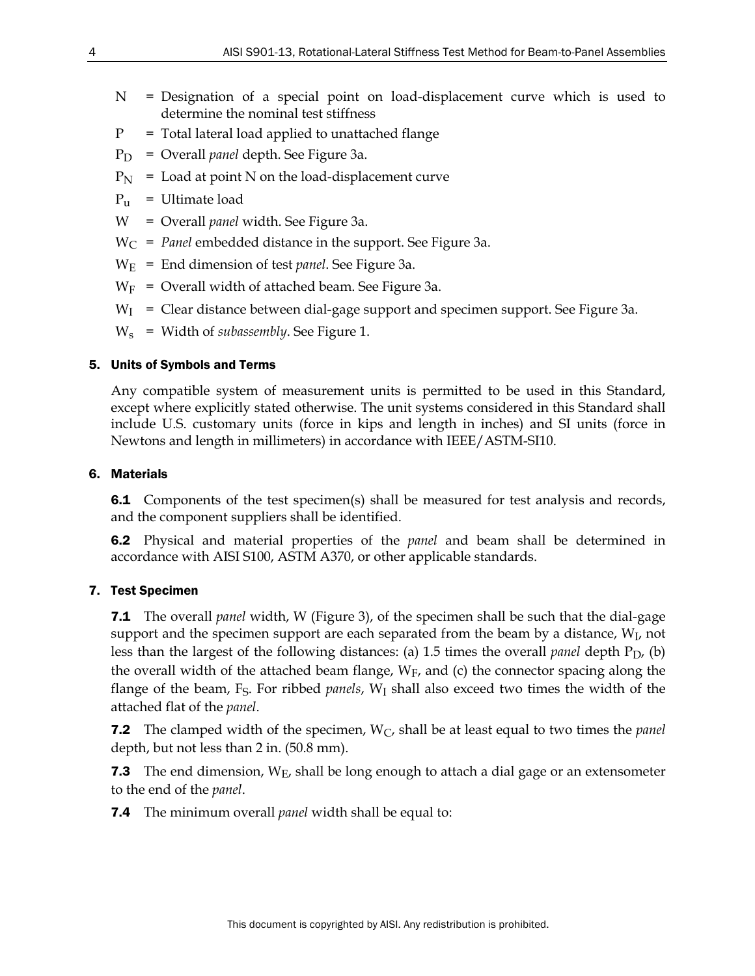- N = Designation of a special point on load-displacement curve which is used to determine the nominal test stiffness
- $P = Total lateral load applied to unattached flange$
- PD = Overall *panel* depth. See Figure 3a.
- $P_N$  = Load at point N on the load-displacement curve
- $P_{u}$  = Ultimate load
- W = Overall *panel* width. See Figure 3a.
- WC = *Panel* embedded distance in the support. See Figure 3a.
- WE = End dimension of test *panel*. See Figure 3a.
- $W_F$  = Overall width of attached beam. See Figure 3a.
- $W_I$  = Clear distance between dial-gage support and specimen support. See Figure 3a.
- Ws = Width of *subassembly*. See Figure 1.

# 5. Units of Symbols and Terms

Any compatible system of measurement units is permitted to be used in this Standard, except where explicitly stated otherwise. The unit systems considered in this Standard shall include U.S. customary units (force in kips and length in inches) and SI units (force in Newtons and length in millimeters) in accordance with IEEE/ASTM-SI10.

# 6. Materials

**6.1** Components of the test specimen(s) shall be measured for test analysis and records, and the component suppliers shall be identified.

6.2 Physical and material properties of the *panel* and beam shall be determined in accordance with AISI S100, ASTM A370, or other applicable standards.

# 7. Test Specimen

**7.1** The overall *panel* width, W (Figure 3), of the specimen shall be such that the dial-gage support and the specimen support are each separated from the beam by a distance,  $W<sub>L</sub>$  not less than the largest of the following distances: (a) 1.5 times the overall *panel* depth  $P_D$ , (b) the overall width of the attached beam flange,  $W_F$ , and (c) the connector spacing along the flange of the beam, F<sub>S</sub>. For ribbed *panels*, W<sub>I</sub> shall also exceed two times the width of the attached flat of the *panel*.

**7.2** The clamped width of the specimen, W<sub>C</sub>, shall be at least equal to two times the *panel* depth, but not less than 2 in. (50.8 mm).

**7.3** The end dimension,  $W_E$ , shall be long enough to attach a dial gage or an extensometer to the end of the *panel*.

7.4 The minimum overall *panel* width shall be equal to: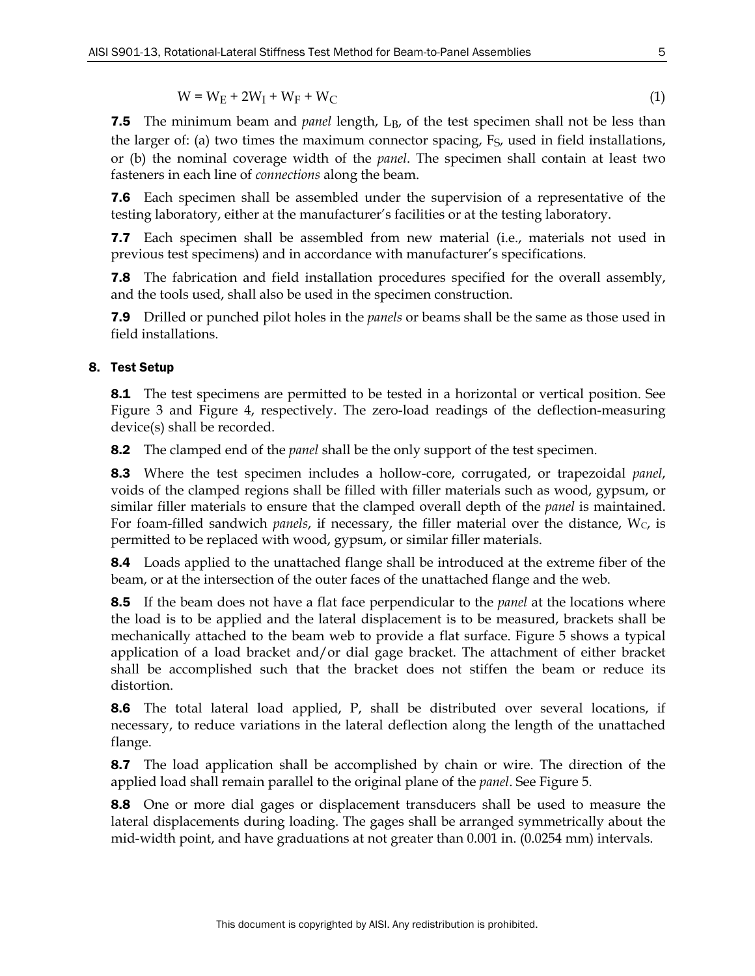$$
W = W_E + 2W_I + W_F + W_C \tag{1}
$$

**7.5** The minimum beam and *panel* length, L<sub>B</sub>, of the test specimen shall not be less than the larger of: (a) two times the maximum connector spacing,  $F<sub>S</sub>$ , used in field installations, or (b) the nominal coverage width of the *panel*. The specimen shall contain at least two fasteners in each line of *connections* along the beam.

**7.6** Each specimen shall be assembled under the supervision of a representative of the testing laboratory, either at the manufacturer's facilities or at the testing laboratory.

**7.7** Each specimen shall be assembled from new material (i.e., materials not used in previous test specimens) and in accordance with manufacturer's specifications.

**7.8** The fabrication and field installation procedures specified for the overall assembly, and the tools used, shall also be used in the specimen construction.

7.9 Drilled or punched pilot holes in the *panels* or beams shall be the same as those used in field installations.

# 8. Test Setup

**8.1** The test specimens are permitted to be tested in a horizontal or vertical position. See Figure 3 and Figure 4, respectively. The zero-load readings of the deflection-measuring device(s) shall be recorded.

8.2 The clamped end of the *panel* shall be the only support of the test specimen.

8.3 Where the test specimen includes a hollow-core, corrugated, or trapezoidal *panel*, voids of the clamped regions shall be filled with filler materials such as wood, gypsum, or similar filler materials to ensure that the clamped overall depth of the *panel* is maintained. For foam-filled sandwich *panels*, if necessary, the filler material over the distance, W<sub>C</sub>, is permitted to be replaced with wood, gypsum, or similar filler materials.

**8.4** Loads applied to the unattached flange shall be introduced at the extreme fiber of the beam, or at the intersection of the outer faces of the unattached flange and the web.

8.5 If the beam does not have a flat face perpendicular to the *panel* at the locations where the load is to be applied and the lateral displacement is to be measured, brackets shall be mechanically attached to the beam web to provide a flat surface. Figure 5 shows a typical application of a load bracket and/or dial gage bracket. The attachment of either bracket shall be accomplished such that the bracket does not stiffen the beam or reduce its distortion.

**8.6** The total lateral load applied, P, shall be distributed over several locations, if necessary, to reduce variations in the lateral deflection along the length of the unattached flange.

8.7 The load application shall be accomplished by chain or wire. The direction of the applied load shall remain parallel to the original plane of the *panel*. See Figure 5.

**8.8** One or more dial gages or displacement transducers shall be used to measure the lateral displacements during loading. The gages shall be arranged symmetrically about the mid-width point, and have graduations at not greater than 0.001 in. (0.0254 mm) intervals.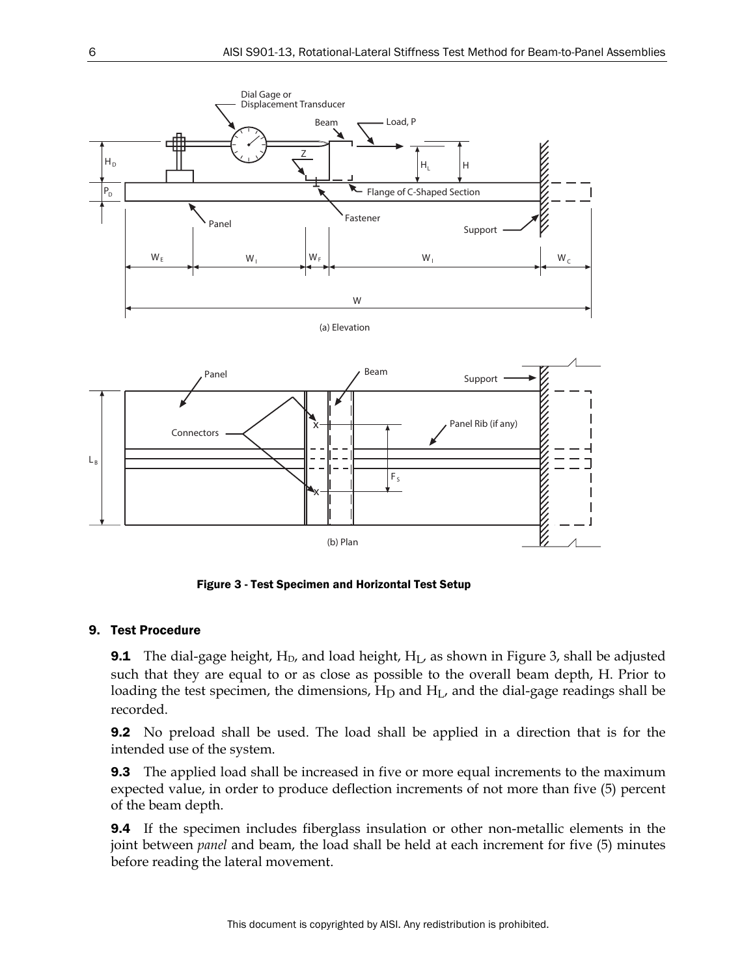

Figure 3 - Test Specimen and Horizontal Test Setup

# 9. Test Procedure

**9.1** The dial-gage height,  $H<sub>D</sub>$ , and load height,  $H<sub>L</sub>$ , as shown in Figure 3, shall be adjusted such that they are equal to or as close as possible to the overall beam depth, H. Prior to loading the test specimen, the dimensions,  $H_D$  and  $H_L$ , and the dial-gage readings shall be recorded.

**9.2** No preload shall be used. The load shall be applied in a direction that is for the intended use of the system.

**9.3** The applied load shall be increased in five or more equal increments to the maximum expected value, in order to produce deflection increments of not more than five (5) percent of the beam depth.

9.4 If the specimen includes fiberglass insulation or other non-metallic elements in the joint between *panel* and beam, the load shall be held at each increment for five (5) minutes before reading the lateral movement.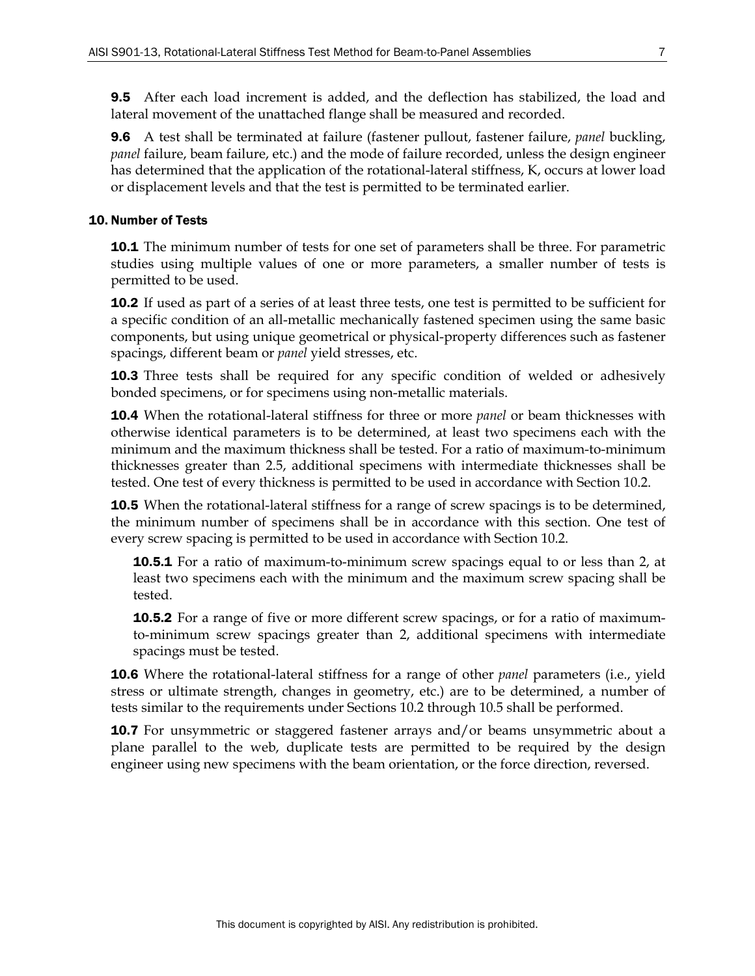**9.5** After each load increment is added, and the deflection has stabilized, the load and lateral movement of the unattached flange shall be measured and recorded.

9.6 A test shall be terminated at failure (fastener pullout, fastener failure, *panel* buckling, *panel* failure, beam failure, etc.) and the mode of failure recorded, unless the design engineer has determined that the application of the rotational-lateral stiffness, K, occurs at lower load or displacement levels and that the test is permitted to be terminated earlier.

### 10. Number of Tests

**10.1** The minimum number of tests for one set of parameters shall be three. For parametric studies using multiple values of one or more parameters, a smaller number of tests is permitted to be used.

**10.2** If used as part of a series of at least three tests, one test is permitted to be sufficient for a specific condition of an all-metallic mechanically fastened specimen using the same basic components, but using unique geometrical or physical-property differences such as fastener spacings, different beam or *panel* yield stresses, etc.

**10.3** Three tests shall be required for any specific condition of welded or adhesively bonded specimens, or for specimens using non-metallic materials.

10.4 When the rotational-lateral stiffness for three or more *panel* or beam thicknesses with otherwise identical parameters is to be determined, at least two specimens each with the minimum and the maximum thickness shall be tested. For a ratio of maximum-to-minimum thicknesses greater than 2.5, additional specimens with intermediate thicknesses shall be tested. One test of every thickness is permitted to be used in accordance with Section 10.2.

**10.5** When the rotational-lateral stiffness for a range of screw spacings is to be determined, the minimum number of specimens shall be in accordance with this section. One test of every screw spacing is permitted to be used in accordance with Section 10.2.

**10.5.1** For a ratio of maximum-to-minimum screw spacings equal to or less than 2, at least two specimens each with the minimum and the maximum screw spacing shall be tested.

**10.5.2** For a range of five or more different screw spacings, or for a ratio of maximumto-minimum screw spacings greater than 2, additional specimens with intermediate spacings must be tested.

10.6 Where the rotational-lateral stiffness for a range of other *panel* parameters (i.e., yield stress or ultimate strength, changes in geometry, etc.) are to be determined, a number of tests similar to the requirements under Sections 10.2 through 10.5 shall be performed.

**10.7** For unsymmetric or staggered fastener arrays and/or beams unsymmetric about a plane parallel to the web, duplicate tests are permitted to be required by the design engineer using new specimens with the beam orientation, or the force direction, reversed.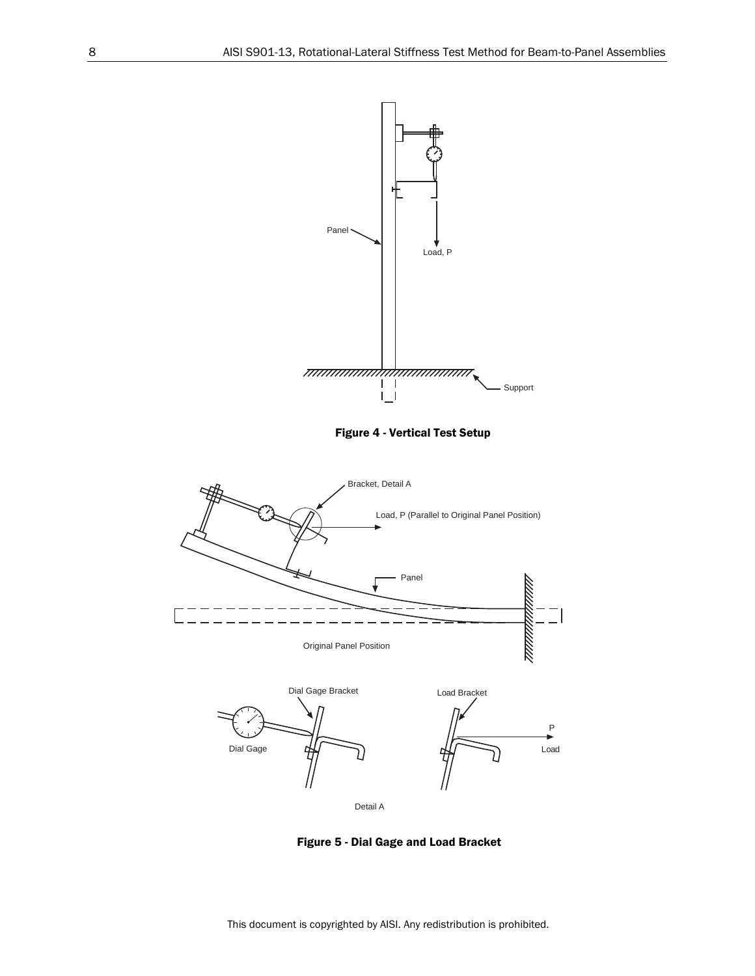

Figure 4 - Vertical Test Setup



Figure 5 - Dial Gage and Load Bracket

This document is copyrighted by AISI. Any redistribution is prohibited.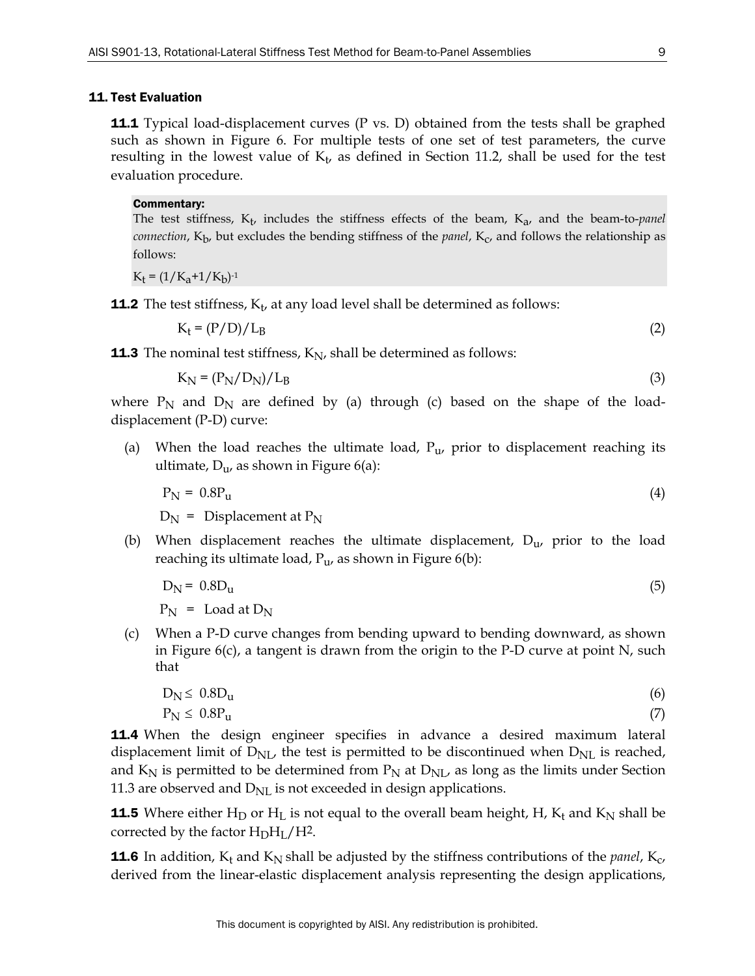#### 11. Test Evaluation

**11.1** Typical load-displacement curves (P vs. D) obtained from the tests shall be graphed such as shown in Figure 6. For multiple tests of one set of test parameters, the curve resulting in the lowest value of  $K_t$ , as defined in Section 11.2, shall be used for the test evaluation procedure.

#### Commentary:

The test stiffness,  $K_t$ , includes the stiffness effects of the beam,  $K_a$ , and the beam-to-*panel connection*, Kb, but excludes the bending stiffness of the *panel*, Kc , and follows the relationship as follows:

 $K_t = (1/K_a+1/K_b)^{-1}$ 

**11.2** The test stiffness,  $K_t$ , at any load level shall be determined as follows:

$$
K_t = (P/D)/L_B
$$
 (2)

**11.3** The nominal test stiffness,  $K_N$ , shall be determined as follows:

$$
K_N = (P_N/D_N)/L_B
$$
\n(3)

where  $P_N$  and  $D_N$  are defined by (a) through (c) based on the shape of the loaddisplacement (P-D) curve:

(a) When the load reaches the ultimate load,  $P_{u}$ , prior to displacement reaching its ultimate,  $D_{\mathbf{u}}$ , as shown in Figure 6(a):

$$
P_N = 0.8P_u \tag{4}
$$

 $D_N$  = Displacement at  $P_N$ 

(b) When displacement reaches the ultimate displacement,  $D_{\mu}$ , prior to the load reaching its ultimate load,  $P_u$ , as shown in Figure 6(b):

$$
D_N = 0.8D_u
$$
  
\n
$$
P_N = \text{Load at } D_N
$$
\n(5)

(c) When a P-D curve changes from bending upward to bending downward, as shown in Figure  $6(c)$ , a tangent is drawn from the origin to the P-D curve at point N, such that

$$
D_N \leq 0.8 D_u \tag{6}
$$

$$
P_N \leq 0.8 P_u \tag{7}
$$

**11.4** When the design engineer specifies in advance a desired maximum lateral displacement limit of  $D_{NL}$ , the test is permitted to be discontinued when  $D_{NL}$  is reached, and  $K_N$  is permitted to be determined from  $P_N$  at  $D_{NL}$ , as long as the limits under Section 11.3 are observed and  $D_{NL}$  is not exceeded in design applications.

**11.5** Where either  $H_D$  or  $H_L$  is not equal to the overall beam height, H, K<sub>t</sub> and K<sub>N</sub> shall be corrected by the factor  $H<sub>D</sub>H<sub>L</sub>/H<sup>2</sup>$ .

**11.6** In addition,  $K_t$  and  $K_N$  shall be adjusted by the stiffness contributions of the *panel*,  $K_c$ , derived from the linear-elastic displacement analysis representing the design applications,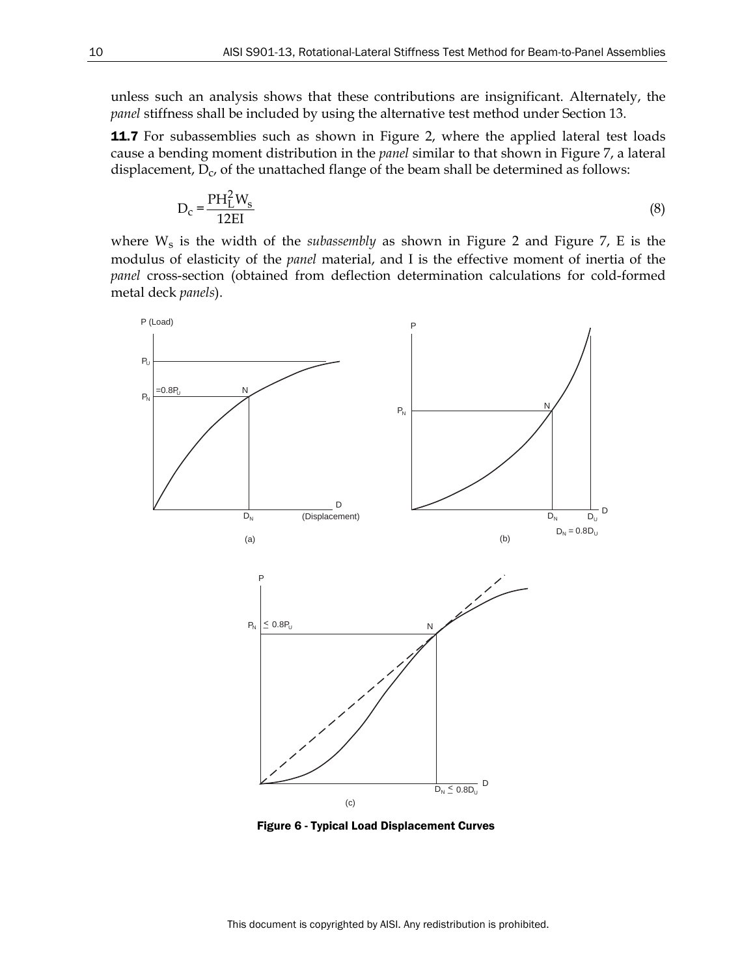unless such an analysis shows that these contributions are insignificant. Alternately, the *panel* stiffness shall be included by using the alternative test method under Section 13.

**11.7** For subassemblies such as shown in Figure 2, where the applied lateral test loads cause a bending moment distribution in the *panel* similar to that shown in Figure 7, a lateral displacement,  $D_c$ , of the unattached flange of the beam shall be determined as follows:

$$
D_c = \frac{PH_L^2 W_s}{12EI} \tag{8}
$$

where Ws is the width of the *subassembly* as shown in Figure 2 and Figure 7, E is the modulus of elasticity of the *panel* material, and I is the effective moment of inertia of the *panel* cross-section (obtained from deflection determination calculations for cold-formed metal deck *panels*).



Figure 6 - Typical Load Displacement Curves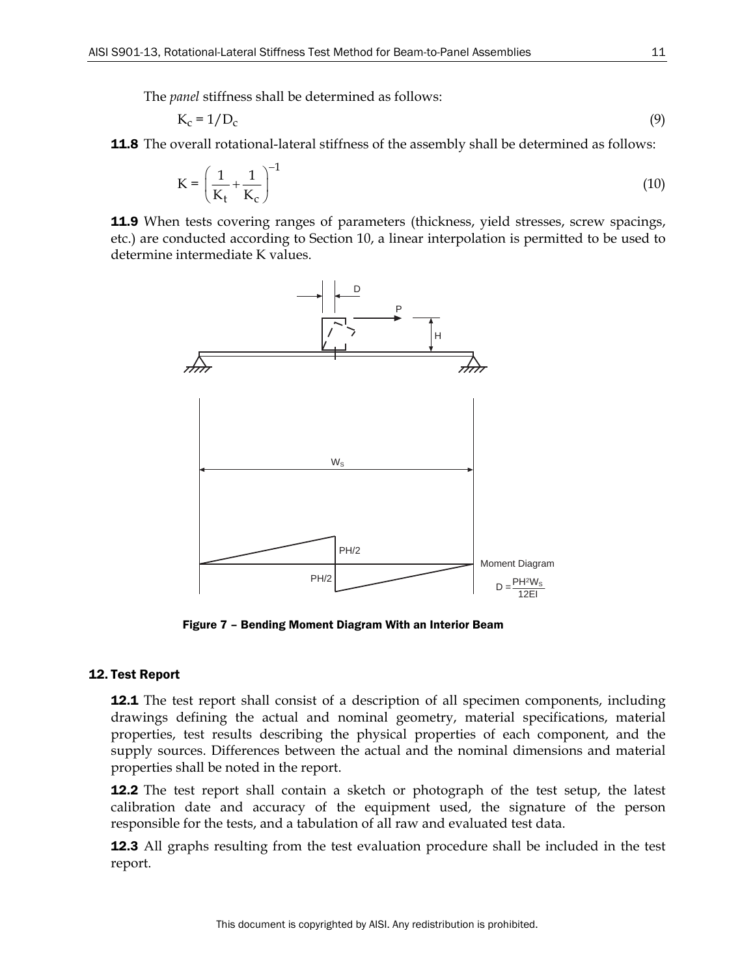The *panel* stiffness shall be determined as follows:

$$
K_c = 1/D_c \tag{9}
$$

**11.8** The overall rotational-lateral stiffness of the assembly shall be determined as follows:

$$
K = \left(\frac{1}{K_t} + \frac{1}{K_c}\right)^{-1}
$$
\n(10)

**11.9** When tests covering ranges of parameters (thickness, yield stresses, screw spacings, etc.) are conducted according to Section 10, a linear interpolation is permitted to be used to determine intermediate K values.



Figure 7 – Bending Moment Diagram With an Interior Beam

### 12. Test Report

**12.1** The test report shall consist of a description of all specimen components, including drawings defining the actual and nominal geometry, material specifications, material properties, test results describing the physical properties of each component, and the supply sources. Differences between the actual and the nominal dimensions and material properties shall be noted in the report.

**12.2** The test report shall contain a sketch or photograph of the test setup, the latest calibration date and accuracy of the equipment used, the signature of the person responsible for the tests, and a tabulation of all raw and evaluated test data.

**12.3** All graphs resulting from the test evaluation procedure shall be included in the test report.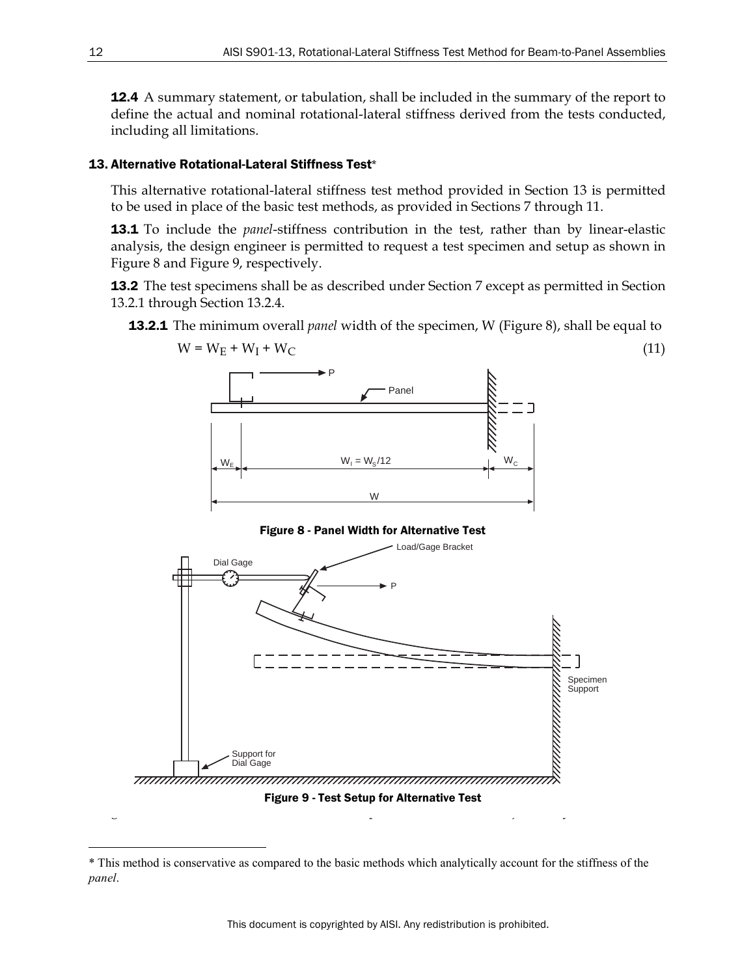**12.4** A summary statement, or tabulation, shall be included in the summary of the report to define the actual and nominal rotational-lateral stiffness derived from the tests conducted, including all limitations.

#### 13. Alternative Rotational-Lateral Stiffness Test\*

This alternative rotational-lateral stiffness test method provided in Section 13 is permitted to be used in place of the basic test methods, as provided in Sections 7 through 11.

13.1 To include the *panel*-stiffness contribution in the test, rather than by linear-elastic analysis, the design engineer is permitted to request a test specimen and setup as shown in Figure 8 and Figure 9, respectively.

**13.2** The test specimens shall be as described under Section 7 except as permitted in Section 13.2.1 through Section 13.2.4.

13.2.1 The minimum overall *panel* width of the specimen, W (Figure 8), shall be equal to



<sup>\*</sup> This method is conservative as compared to the basic methods which analytically account for the stiffness of the *panel*.

-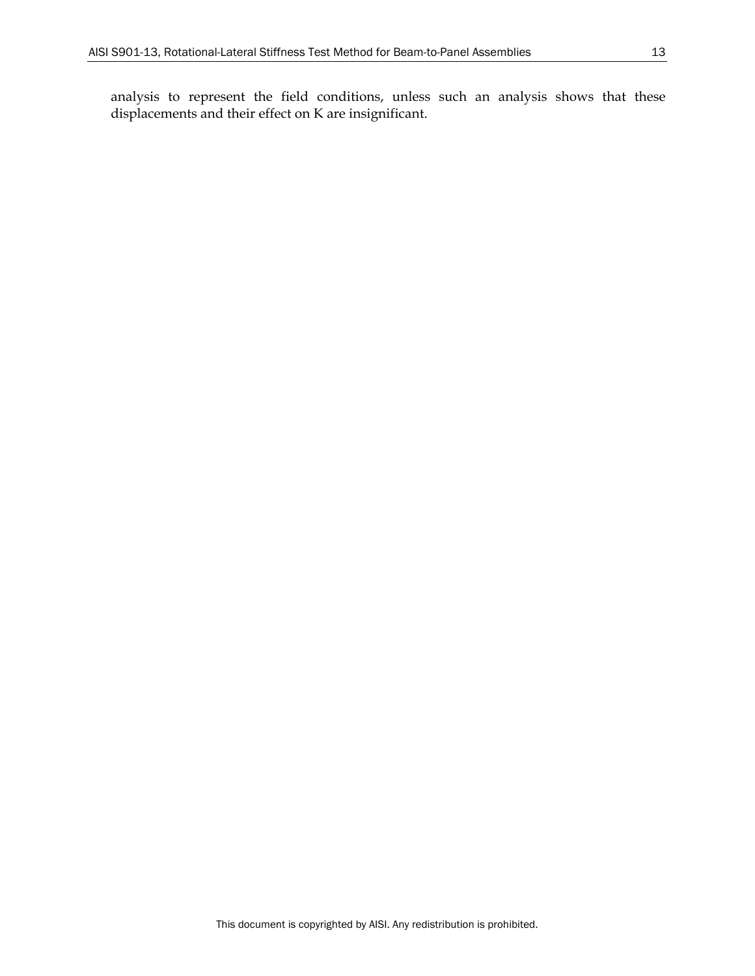analysis to represent the field conditions, unless such an analysis shows that these displacements and their effect on K are insignificant.